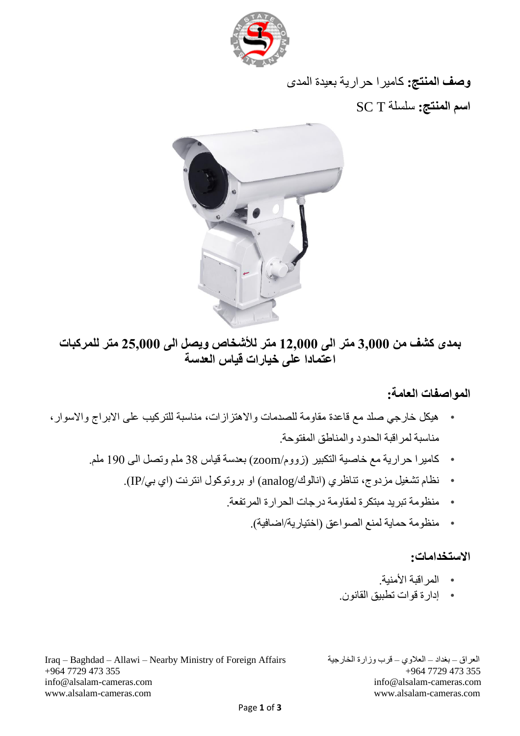

**وصف المنتج:** كاميرا حرارية بعيدة المدى **اسم المنتج:** سلسلة T SC



### **بمدى كشف من 3,000 متر الى 12,000 متر لألشخاص ويصل الى 25,000 متر للمركبات اعتمادا على خيارات قياس العدسة**

#### **المواصفات العامة:**

- هيكل خارجي صلد مع قاعدة مقاومة للصدمات واالهتزازات، مناسبة للتركيب على االبراج واالسوار، مناسبة لمراقبة الحدود والمناطق المفتوحة.
	- كاميرا حرارية مع خاصية التكبير )زووم/zoom )بعدسة قياس 38 ملم وتصل الى 190 ملم.
		- نظام تشغيل مزدوج، تناظري )انالوك/analog )او بروتوكول انترنت )اي بي/IP).
			- منظومة تبريد مبتكرة لمقاومة درجات الحرارة المرتفعة.
				- منظومة حماية لمنع الصواعق )اختيارية/اضافية(.

#### **االستخدامات:**

- المراقبة األمنية.
- إدارة قوات تطبيق القانون.

Iraq – Baghdad – Allawi – Nearby Ministry of Foreign Affairs الخارجية وزارة قرب – العالوي – بغداد – العراق +964 7729 473 355 +964 7729 473 355 [info@alsalam-cameras.com](mailto:info@alsalam-cameras.com) [info@alsalam-cameras.com](mailto:info@alsalam-cameras.com) [www.alsalam-cameras.com](http://www.alsalam-cameras.com/) www.alsalam-cameras.com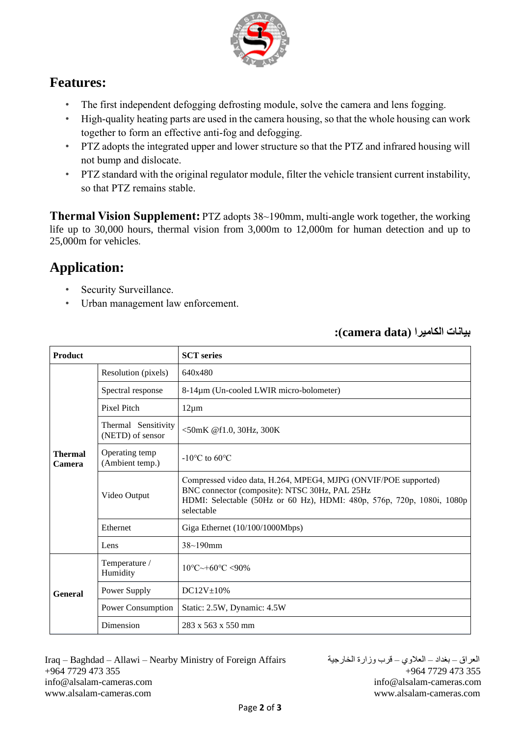

### **Features:**

- The first independent defogging defrosting module, solve the camera and lens fogging.
- High-quality heating parts are used in the camera housing, so that the whole housing can work together to form an effective anti-fog and defogging.
- PTZ adopts the integrated upper and lower structure so that the PTZ and infrared housing will not bump and dislocate.
- PTZ standard with the original regulator module, filter the vehicle transient current instability, so that PTZ remains stable.

**Thermal Vision Supplement:** PTZ adopts 38~190mm, multi-angle work together, the working life up to 30,000 hours, thermal vision from 3,000m to 12,000m for human detection and up to 25,000m for vehicles.

## **Application:**

- Security Surveillance.
- Urban management law enforcement.

| <b>Product</b>           |                                         | <b>SCT</b> series                                                                                                                                                                                         |
|--------------------------|-----------------------------------------|-----------------------------------------------------------------------------------------------------------------------------------------------------------------------------------------------------------|
| <b>Thermal</b><br>Camera | Resolution (pixels)                     | 640x480                                                                                                                                                                                                   |
|                          | Spectral response                       | 8-14μm (Un-cooled LWIR micro-bolometer)                                                                                                                                                                   |
|                          | Pixel Pitch                             | $12\mu m$                                                                                                                                                                                                 |
|                          | Thermal Sensitivity<br>(NETD) of sensor | <50mK @f1.0, 30Hz, 300K                                                                                                                                                                                   |
|                          | Operating temp<br>(Ambient temp.)       | $-10^{\circ}$ C to 60 $^{\circ}$ C                                                                                                                                                                        |
|                          | Video Output                            | Compressed video data, H.264, MPEG4, MJPG (ONVIF/POE supported)<br>BNC connector (composite): NTSC 30Hz, PAL 25Hz<br>HDMI: Selectable (50Hz or 60 Hz), HDMI: 480p, 576p, 720p, 1080i, 1080p<br>selectable |
|                          | Ethernet                                | Giga Ethernet (10/100/1000Mbps)                                                                                                                                                                           |
|                          | Lens                                    | $38 - 190$ mm                                                                                                                                                                                             |
| <b>General</b>           | Temperature /<br>Humidity               | $10^{\circ}$ C $\sim$ +60 $^{\circ}$ C $\lt$ 90%                                                                                                                                                          |
|                          | Power Supply                            | $DC12V \pm 10\%$                                                                                                                                                                                          |
|                          | Power Consumption                       | Static: 2.5W, Dynamic: 4.5W                                                                                                                                                                               |
|                          | Dimension                               | $283 \times 563 \times 550$ mm                                                                                                                                                                            |

**بيانات الكاميرا )data camera):**